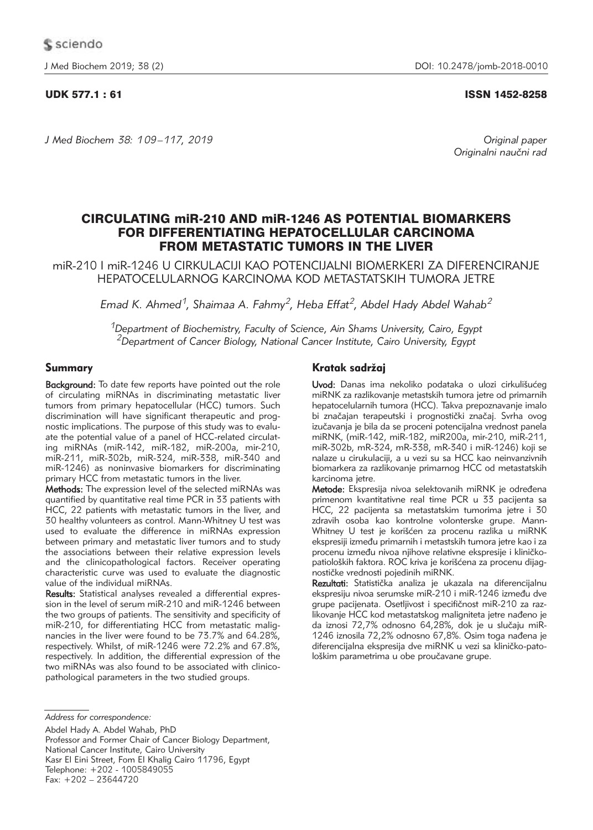*J Med Biochem 38: 109 –117, 2019 Original paper*

## UDK 577.1 : 61 ISSN 1452-8258

Originalni naučni rad

# CIRCULATING miR-210 AND miR-1246 AS POTENTIAL BIOMARKERS FOR DIFFERENTIATING HEPATOCELLULAR CARCINOMA FROM METASTATIC TUMORS IN THE LIVER

miR-210 I miR-1246 U CIRKULACIJI KAO POTENCIJALNI BIOMERKERI ZA DIFERENCIRANJE HEPATOCELULARNOG KARCINOMA KOD METASTATSKIH TUMORA JETRE

*Emad K. Ahmed1, Shaimaa A. Fahmy2, Heba Effat2, Abdel Hady Abdel Wahab2*

*1Department of Biochemistry, Faculty of Science, Ain Shams University, Cairo, Egypt 2Department of Cancer Biology, National Cancer Institute, Cairo University, Egypt*

# Summary

**Background:** To date few reports have pointed out the role of circulating miRNAs in discriminating metastatic liver tumors from primary hepatocellular (HCC) tumors. Such discrimination will have significant therapeutic and prognostic implications. The purpose of this study was to evaluate the potential value of a panel of HCC-related circulating miRNAs (miR-142, miR-182, miR-200a, mir-210, miR-211, miR-302b, miR-324, miR-338, miR-340 and miR-1246) as noninvasive biomarkers for discriminating primary HCC from metastatic tumors in the liver.

Methods: The expression level of the selected miRNAs was quantified by quantitative real time PCR in 33 patients with HCC, 22 patients with metastatic tumors in the liver, and 30 healthy volunteers as control. Mann-Whitney U test was used to evaluate the difference in miRNAs expression between primary and metastatic liver tumors and to study the associations between their relative expression levels and the clinicopathological factors. Receiver operating characteristic curve was used to evaluate the diagnostic value of the individual miRNAs.

Results: Statistical analyses revealed a differential expression in the level of serum miR-210 and miR-1246 between the two groups of patients. The sensitivity and specificity of miR-210, for differentiating HCC from metastatic malignancies in the liver were found to be 73.7% and 64.28%, respectively. Whilst, of miR-1246 were 72.2% and 67.8%, respectively. In addition, the differential expression of the two miRNAs was also found to be associated with clinicopathological parameters in the two studied groups.

Abdel Hady A. Abdel Wahab, PhD Professor and Former Chair of Cancer Biology Department, National Cancer Institute, Cairo University Kasr El Eini Street, Fom El Khalig Cairo 11796, Egypt Telephone: +202 - 1005849055 Fax: +202 – 23644720

# Kratak sadržai

Uvod: Danas ima nekoliko podataka o ulozi cirkulišućeg miRNK za razlikovanje metastskih tumora jetre od primarnih hepatocelularnih tumora (HCC). Takva prepoznavanje imalo bi značajan terapeutski i prognostički značaj. Svrha ovog izučavanja je bila da se proceni potencijalna vrednost panela miRNK, (miR-142, miR-182, miR200a, mir-210, miR-211, miR-302b, mR-324, mR-338, mR-340 i miR-1246) koji se nalaze u cirukulaciji, a u vezi su sa HCC kao neinvanzivnih biomarkera za razlikovanje primarnog HCC od metastatskih karcinoma jetre.

Metode: Ekspresija nivoa selektovanih miRNK je određena primenom kvantitativne real time PCR u 33 pacijenta sa HCC, 22 pacijenta sa metastatskim tumorima jetre i 30 zdravih osoba kao kontrolne volonterske grupe. Mann-Whitney U test je korišćen za procenu razlika u miRNK ekspresiji između primarnih i metastskih tumora jetre kao i za procenu između nivoa njihove relativne ekspresije i kliničkopatioloških faktora. ROC kriva je korišćena za procenu dijagnostičke vrednosti pojedinih miRNK.

Rezultati: Statistička analiza je ukazala na diferencijalnu ekspresiju nivoa serumske miR-210 i miR-1246 između dve grupe pacijenata. Osetljivost i specifičnost miR-210 za razlikovanje HCC kod metastatskog maligniteta jetre nađeno je da iznosi 72,7% odnosno 64,28%, dok je u slučaju miR-1246 iznosila 72,2% odnosno 67,8%. Osim toga nađena je diferencijalna ekspresija dve miRNK u vezi sa kliničko-patološkim parametrima u obe proučavane grupe.

*Address for correspondence:*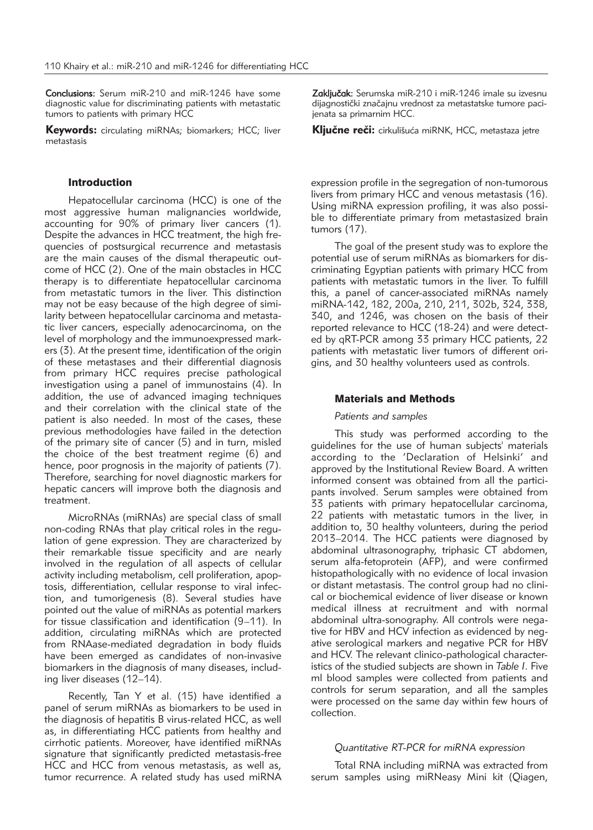Conclusions: Serum miR-210 and miR-1246 have some diagnostic value for discriminating patients with metastatic tumors to patients with primary HCC

**Keywords:** circulating miRNAs: biomarkers: HCC: liver metastasis

#### Introduction

Hepatocellular carcinoma (HCC) is one of the most aggressive human malignancies worldwide, accounting for 90% of primary liver cancers (1). Despite the advances in HCC treatment, the high frequencies of postsurgical recurrence and metastasis are the main causes of the dismal therapeutic outcome of HCC (2). One of the main obstacles in HCC therapy is to differentiate hepatocellular carcinoma from metastatic tumors in the liver. This distinction may not be easy because of the high degree of similarity between hepatocellular carcinoma and metastatic liver cancers, especially adenocarcinoma, on the level of morphology and the immunoexpressed markers (3). At the present time, identification of the origin of these metastases and their differential diagnosis from primary HCC requires precise pathological investigation using a panel of immunostains (4). In addition, the use of advanced imaging techniques and their correlation with the clinical state of the patient is also needed. In most of the cases, these previous methodologies have failed in the detection of the primary site of cancer (5) and in turn, misled the choice of the best treatment regime (6) and hence, poor prognosis in the majority of patients (7). Therefore, searching for novel diagnostic markers for hepatic cancers will improve both the diagnosis and treatment.

MicroRNAs (miRNAs) are special class of small non-coding RNAs that play critical roles in the regulation of gene expression. They are characterized by their remarkable tissue specificity and are nearly involved in the regulation of all aspects of cellular activity including metabolism, cell proliferation, apoptosis, differentiation, cellular response to viral infection, and tumorigenesis (8). Several studies have pointed out the value of miRNAs as potential markers for tissue classification and identification (9–11). In addition, circulating miRNAs which are protected from RNAase-mediated degradation in body fluids have been emerged as candidates of non-invasive biomarkers in the diagnosis of many diseases, including liver diseases (12–14).

Recently, Tan Y et al. (15) have identified a panel of serum miRNAs as biomarkers to be used in the diagnosis of hepatitis B virus-related HCC, as well as, in differentiating HCC patients from healthy and cirrhotic patients. Moreover, have identified miRNAs signature that significantly predicted metastasis-free HCC and HCC from venous metastasis, as well as, tumor recurrence. A related study has used miRNA

Zaključak: Serumska miR-210 i miR-1246 imale su izvesnu dijagnostički značajnu vrednost za metastatske tumore pacijenata sa primarnim HCC.

Kliučne reči: cirkulišuća miRNK, HCC, metastaza jetre

expression profile in the segregation of non-tumorous livers from primary HCC and venous metastasis (16). Using miRNA expression profiling, it was also possible to differentiate primary from metastasized brain tumors (17).

The goal of the present study was to explore the potential use of serum miRNAs as biomarkers for discriminating Egyptian patients with primary HCC from patients with metastatic tumors in the liver. To fulfill this, a panel of cancer-associated miRNAs namely miRNA-142, 182, 200a, 210, 211, 302b, 324, 338, 340, and 1246, was chosen on the basis of their reported relevance to HCC (18-24) and were detected by qRT-PCR among 33 primary HCC patients, 22 patients with metastatic liver tumors of different origins, and 30 healthy volunteers used as controls.

#### Materials and Methods

#### *Patients and samples*

This study was performed according to the guidelines for the use of human subjects' materials according to the 'Declaration of Helsinki' and approved by the Institutional Review Board. A written informed consent was obtained from all the participants involved. Serum samples were obtained from 33 patients with primary hepatocellular carcinoma, 22 patients with metastatic tumors in the liver, in addition to, 30 healthy volunteers, during the period 2013–2014. The HCC patients were diagnosed by abdominal ultrasonography, triphasic CT abdomen, serum alfa-fetoprotein (AFP), and were confirmed histopathologically with no evidence of local invasion or distant metastasis. The control group had no clinical or biochemical evidence of liver disease or known medical illness at recruitment and with normal abdominal ultra-sonography. All controls were negative for HBV and HCV infection as evidenced by negative serological markers and negative PCR for HBV and HCV. The relevant clinico-pathological characteristics of the studied subjects are shown in *Table I*. Five ml blood samples were collected from patients and controls for serum separation, and all the samples were processed on the same day within few hours of collection.

## *Quantitative RT-PCR for miRNA expression*

Total RNA including miRNA was extracted from serum samples using miRNeasy Mini kit (Qiagen,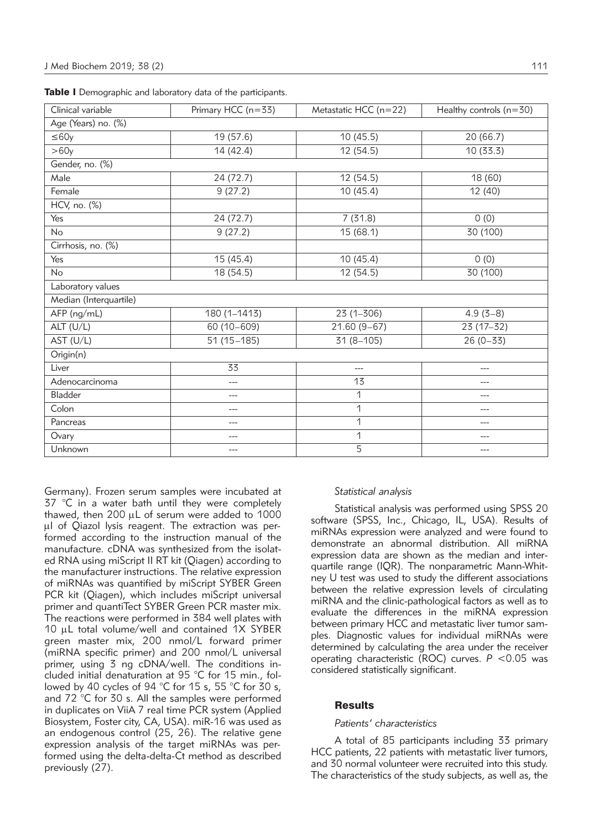| Clinical variable      | Primary HCC (n=33) | Metastatic HCC ( $n=22$ ) | Healthy controls $(n=30)$ |
|------------------------|--------------------|---------------------------|---------------------------|
| Age (Years) no. (%)    |                    |                           |                           |
| $\leq 60y$             | 19 (57.6)          | 10(45.5)                  | 20(66.7)                  |
| >60y                   | 14 (42.4)          | 12 (54.5)                 | 10(33.3)                  |
| Gender, no. (%)        |                    |                           |                           |
| Male                   | 24 (72.7)          | 12 (54.5)                 | 18 (60)                   |
| Female                 | 9(27.2)            | 10(45.4)                  | 12 (40)                   |
| $HCV$ , no. $(\%)$     |                    |                           |                           |
| Yes                    | 24 (72.7)          | 7(31.8)                   | 0(0)                      |
| <b>No</b>              | 9(27.2)            | 15(68.1)                  | 30 (100)                  |
| Cirrhosis, no. (%)     |                    |                           |                           |
| Yes                    | 15 (45.4)          | 10 (45.4)                 | 0(0)                      |
| <b>No</b>              | 18 (54.5)          | 12 (54.5)                 | 30 (100)                  |
| Laboratory values      |                    |                           |                           |
| Median (Interquartile) |                    |                           |                           |
| AFP (ng/mL)            | 180 (1-1413)       | $23(1 - 306)$             | $4.9(3-8)$                |
| ALT (U/L)              | 60 (10-609)        | $21.60(9-67)$             | $23(17-32)$               |
| AST (U/L)              | $51(15-185)$       | $31(8 - 105)$             | $26(0 - 33)$              |
| Origin(n)              |                    |                           |                           |
| Liver                  | 33                 | $---$                     | ---                       |
| Adenocarcinoma         | ---                | 13                        | ---                       |
| Bladder                | ---                | 1                         | $---$                     |
| Colon                  | ---                | 1                         | ---                       |
| Pancreas               | $---$              | 1                         | ---                       |
| Ovary                  |                    | 1                         | ---                       |
| Unknown                | $---$              | 5                         | ---                       |

|  | Table I Demographic and laboratory data of the participants. |  |  |  |
|--|--------------------------------------------------------------|--|--|--|
|--|--------------------------------------------------------------|--|--|--|

Germany). Frozen serum samples were incubated at 37 °C in a water bath until they were completely thawed, then 200 mL of serum were added to 1000 µI of Qiazol lysis reagent. The extraction was performed according to the instruction manual of the manufacture. cDNA was synthesized from the isolated RNA using miScript II RT kit (Qiagen) according to the manufacturer instructions. The relative expression of miRNAs was quantified by miScript SYBER Green PCR kit (Qiagen), which includes miScript universal primer and quantiTect SYBER Green PCR master mix. The reactions were performed in 384 well plates with 10  $\mu$ L total volume/well and contained 1X SYBER green master mix, 200 nmol/L forward primer (miRNA specific primer) and 200 nmol/L universal primer, using 3 ng cDNA/well. The conditions included initial denaturation at 95 °C for 15 min., followed by 40 cycles of 94 °C for 15 s, 55 °C for 30 s, and 72 °C for 30 s. All the samples were performed in duplicates on ViiA 7 real time PCR system (Applied Biosystem, Foster city, CA, USA). miR-16 was used as an endogenous control (25, 26). The relative gene expression analysis of the target miRNAs was performed using the delta-delta-Ct method as described previously (27).

#### *Statistical analysis*

Statistical analysis was performed using SPSS 20 software (SPSS, Inc., Chicago, IL, USA). Results of miRNAs expression were analyzed and were found to demonstrate an abnormal distribution. All miRNA expression data are shown as the median and interquartile range (IQR). The nonparametric Mann-Whitney U test was used to study the different associations between the relative expression levels of circulating miRNA and the clinic-pathological factors as well as to evaluate the differences in the miRNA expression between primary HCC and metastatic liver tumor samples. Diagnostic values for individual miRNAs were determined by calculating the area under the receiver operating characteristic (ROC) curves. *P* <0.05 was considered statistically significant.

#### **Results**

#### *Patients' characteristics*

A total of 85 participants including 33 primary HCC patients, 22 patients with metastatic liver tumors, and 30 normal volunteer were recruited into this study. The characteristics of the study subjects, as well as, the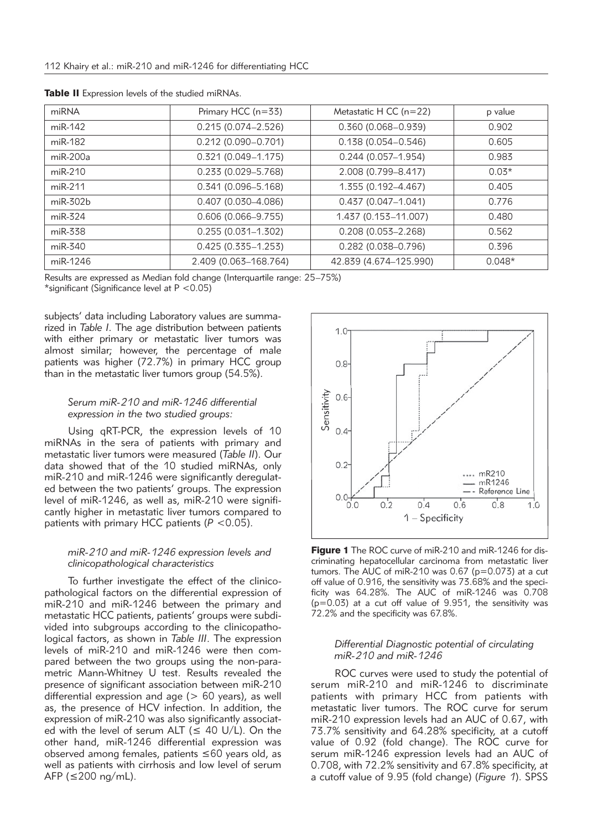| miRNA      | Primary HCC $(n=33)$   | Metastatic H CC $(n=22)$ | p value  |
|------------|------------------------|--------------------------|----------|
| miR-142    | $0.215(0.074 - 2.526)$ | $0.360(0.068 - 0.939)$   | 0.902    |
| miR-182    | $0.212(0.090 - 0.701)$ | $0.138(0.054 - 0.546)$   | 0.605    |
| $miR-200a$ | $0.321(0.049 - 1.175)$ | $0.244(0.057-1.954)$     | 0.983    |
| $miR-210$  | $0.233(0.029 - 5.768)$ | 2.008 (0.799-8.417)      | $0.03*$  |
| $miR-211$  | $0.341(0.096 - 5.168)$ | 1.355 (0.192-4.467)      | 0.405    |
| $miR-302b$ | $0.407(0.030 - 4.086)$ | $0.437(0.047 - 1.041)$   | 0.776    |
| $miR-324$  | $0.606(0.066 - 9.755)$ | 1.437 (0.153-11.007)     | 0.480    |
| miR-338    | $0.255(0.031 - 1.302)$ | $0.208(0.053 - 2.268)$   | 0.562    |
| miR-340    | $0.425(0.335 - 1.253)$ | $0.282$ (0.038-0.796)    | 0.396    |
| miR-1246   | 2.409 (0.063-168.764)  | 42.839 (4.674-125.990)   | $0.048*$ |

Table II Expression levels of the studied miRNAs.

Results are expressed as Median fold change (Interquartile range: 25–75%)

\*significant (Significance level at P <0.05)

subjects' data including Laboratory values are summarized in *Table I*. The age distribution between patients with either primary or metastatic liver tumors was almost similar; however, the percentage of male patients was higher (72.7%) in primary HCC group than in the metastatic liver tumors group (54.5%).

## *Serum miR-210 and miR-1246 differential expression in the two studied groups:*

Using qRT-PCR, the expression levels of 10 miRNAs in the sera of patients with primary and metastatic liver tumors were measured (*Table II*). Our data showed that of the 10 studied miRNAs, only miR-210 and miR-1246 were significantly deregulated between the two patients' groups. The expression level of miR-1246, as well as, miR-210 were significantly higher in metastatic liver tumors compared to patients with primary HCC patients (*P* <0.05).

# *miR-210 and miR-1246 expression levels and clinicopathological characteristics*

To further investigate the effect of the clinicopathological factors on the differential expression of miR-210 and miR-1246 between the primary and metastatic HCC patients, patients' groups were subdivided into subgroups according to the clinicopathological factors, as shown in *Table III*. The expression levels of miR-210 and miR-1246 were then compared between the two groups using the non-parametric Mann-Whitney U test. Results revealed the presence of significant association between miR-210 differential expression and age ( $> 60$  years), as well as, the presence of HCV infection. In addition, the expression of miR-210 was also significantly associated with the level of serum ALT ( $\leq$  40 U/L). On the other hand, miR-1246 differential expression was observed among females, patients ≤60 years old, as well as patients with cirrhosis and low level of serum AFP ( $\leq$ 200 ng/mL).



**Figure 1** The ROC curve of miR-210 and miR-1246 for discriminating hepatocellular carcinoma from metastatic liver tumors. The AUC of miR-210 was  $0.67$  ( $p=0.073$ ) at a cut off value of 0.916, the sensitivity was 73.68% and the specificity was 64.28%. The AUC of miR-1246 was 0.708  $(p=0.03)$  at a cut off value of 9.951, the sensitivity was 72.2% and the specificity was 67.8%.

#### *Differential Diagnostic potential of circulating miR-210 and miR-1246*

ROC curves were used to study the potential of serum miR-210 and miR-1246 to discriminate patients with primary HCC from patients with metastatic liver tumors. The ROC curve for serum miR-210 expression levels had an AUC of 0.67, with 73.7% sensitivity and 64.28% specificity, at a cutoff value of 0.92 (fold change). The ROC curve for serum miR-1246 expression levels had an AUC of 0.708, with 72.2% sensitivity and 67.8% specificity, at a cutoff value of 9.95 (fold change) (*Figure 1*). SPSS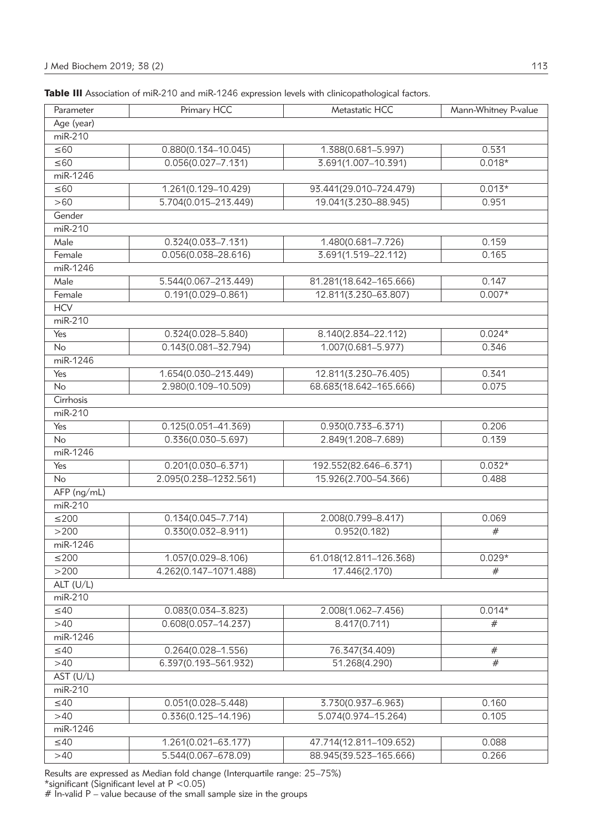| Parameter      | Primary HCC              | Metastatic HCC         | Mann-Whitney P-value |
|----------------|--------------------------|------------------------|----------------------|
| Age (year)     |                          |                        |                      |
| miR-210        |                          |                        |                      |
| $\leq 60$      | $0.880(0.134 - 10.045)$  | 1.388(0.681-5.997)     | 0.531                |
| $\leq 60$      | $0.056(0.027 - 7.131)$   | 3.691(1.007-10.391)    | $0.018*$             |
| miR-1246       |                          |                        |                      |
| ≤60            | 1.261(0.129-10.429)      | 93.441(29.010-724.479) | $0.013*$             |
| >60            | 5.704(0.015-213.449)     | 19.041(3.230-88.945)   | 0.951                |
| Gender         |                          |                        |                      |
| miR-210        |                          |                        |                      |
| Male           | $0.324(0.033 - 7.131)$   | 1.480(0.681-7.726)     | 0.159                |
| Female         | $0.056(0.038 - 28.616)$  | 3.691(1.519-22.112)    | 0.165                |
| miR-1246       |                          |                        |                      |
| Male           | 5.544(0.067-213.449)     | 81.281(18.642-165.666) | 0.147                |
| Female         | $0.191(0.029 - 0.861)$   | 12.811(3.230-63.807)   | $0.007*$             |
| <b>HCV</b>     |                          |                        |                      |
| $m$ i $R-210$  |                          |                        |                      |
| Yes            | $0.324(0.028 - 5.840)$   | 8.140(2.834-22.112)    | $0.024*$             |
| No             | $0.143(0.081 - 32.794)$  | $1.007(0.681 - 5.977)$ | 0.346                |
| $m$ i $R-1246$ |                          |                        |                      |
| Yes            | 1.654(0.030-213.449)     | 12.811(3.230-76.405)   | 0.341                |
| <b>No</b>      | 2.980(0.109-10.509)      | 68.683(18.642-165.666) | 0.075                |
| Cirrhosis      |                          |                        |                      |
| miR-210        |                          |                        |                      |
| Yes            | $0.125(0.051 - 41.369)$  | $0.930(0.733 - 6.371)$ | 0.206                |
| No             | $0.336(0.030 - 5.697)$   | 2.849(1.208-7.689)     | 0.139                |
| miR-1246       |                          |                        |                      |
| Yes            | $0.201(0.030 - 6.371)$   | 192.552(82.646-6.371)  | $0.032*$             |
| No             | 2.095(0.238-1232.561)    | 15.926(2.700-54.366)   | 0.488                |
| AFP (ng/mL)    |                          |                        |                      |
| $m$ i $R-210$  |                          |                        |                      |
| $≤200$         | $0.134(0.045 - 7.714)$   | 2.008(0.799-8.417)     | 0.069                |
| >200           | $0.330(0.032 - 8.911)$   | 0.952(0.182)           | #                    |
| miR-1246       |                          |                        |                      |
| $≤200$         | 1.057(0.029-8.106)       | 61.018(12.811-126.368) | $0.029*$             |
| >200           | 4.262(0.147-1071.488)    | 17.446(2.170)          | #                    |
| $ALT$ (U/L)    |                          |                        |                      |
| miR-210        |                          |                        |                      |
| $\leq 40$      | $0.083(0.034 - 3.823)$   | 2.008(1.062-7.456)     | $0.014*$             |
| >40            | $0.608(0.057 - 14.237)$  | 8.417(0.711)           | #                    |
| miR-1246       |                          |                        |                      |
| $\leq 40$      | $0.264(0.028 - 1.556)$   | 76.347(34.409)         | #                    |
| >40            | $6.397(0.193 - 561.932)$ | 51.268(4.290)          | #                    |
| AST (U/L)      |                          |                        |                      |
| miR-210        |                          |                        |                      |
| $\leq 40$      | $0.051(0.028 - 5.448)$   | 3.730(0.937-6.963)     | 0.160                |
| >40            | $0.336(0.125 - 14.196)$  | 5.074(0.974-15.264)    | 0.105                |
| miR-1246       |                          |                        |                      |
| $\leq 40$      | 1.261(0.021-63.177)      | 47.714(12.811-109.652) | 0.088                |
|                |                          |                        |                      |

>40 5.544(0.067–678.09) 88.945(39.523–165.666) 0.266

| Table III Association of miR-210 and miR-1246 expression levels with clinicopathological factors. |  |  |
|---------------------------------------------------------------------------------------------------|--|--|
|---------------------------------------------------------------------------------------------------|--|--|

Results are expressed as Median fold change (Interquartile range: 25–75%) \*significant (Significant level at P <0.05)

 $#$  In-valid P – value because of the small sample size in the groups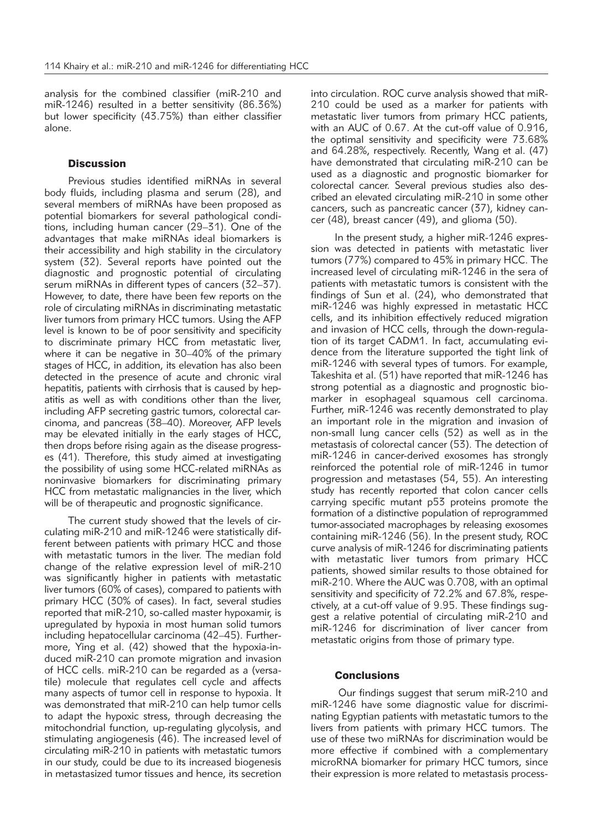analysis for the combined classifier (miR-210 and miR-1246) resulted in a better sensitivity (86.36%) but lower specificity (43.75%) than either classifier alone.

## **Discussion**

Previous studies identified miRNAs in several body fluids, including plasma and serum (28), and several members of miRNAs have been proposed as potential biomarkers for several pathological conditions, including human cancer (29–31). One of the advantages that make miRNAs ideal biomarkers is their accessibility and high stability in the circulatory system (32). Several reports have pointed out the diagnostic and prognostic potential of circulating serum miRNAs in different types of cancers (32–37). However, to date, there have been few reports on the role of circulating miRNAs in discriminating metastatic liver tumors from primary HCC tumors. Using the AFP level is known to be of poor sensitivity and specificity to discriminate primary HCC from metastatic liver, where it can be negative in 30–40% of the primary stages of HCC, in addition, its elevation has also been detected in the presence of acute and chronic viral hepatitis, patients with cirrhosis that is caused by hepatitis as well as with conditions other than the liver, including AFP secreting gastric tumors, colorectal carcinoma, and pancreas (38–40). Moreover, AFP levels may be elevated initially in the early stages of HCC, then drops before rising again as the disease progresses (41). Therefore, this study aimed at investigating the possibility of using some HCC-related miRNAs as noninvasive biomarkers for discriminating primary HCC from metastatic malignancies in the liver, which will be of therapeutic and prognostic significance.

The current study showed that the levels of circulating miR-210 and miR-1246 were statistically different between patients with primary HCC and those with metastatic tumors in the liver. The median fold change of the relative expression level of miR-210 was significantly higher in patients with metastatic liver tumors (60% of cases), compared to patients with primary HCC (30% of cases). In fact, several studies reported that miR-210, so-called master hypoxamir, is upregulated by hypoxia in most human solid tumors including hepatocellular carcinoma (42–45). Further more, Ying et al. (42) showed that the hypoxia-induced miR-210 can promote migration and invasion of HCC cells. miR-210 can be regarded as a (versatile) molecule that regulates cell cycle and affects many aspects of tumor cell in response to hypoxia. It was demonstrated that miR-210 can help tumor cells to adapt the hypoxic stress, through decreasing the mitochondrial function, up-regulating glycolysis, and stimulating angiogenesis (46). The increased level of circulating miR-210 in patients with metastatic tumors in our study, could be due to its increased biogenesis in metastasized tumor tissues and hence, its secretion

into circulation. ROC curve analysis showed that miR-210 could be used as a marker for patients with meta static liver tumors from primary HCC patients, with an AUC of 0.67. At the cut-off value of 0.916, the optimal sensitivity and specificity were 73.68% and 64.28%, respectively. Recently, Wang et al. (47) have demonstrated that circulating miR-210 can be used as a diagnostic and prognostic biomarker for colorectal cancer. Several previous studies also described an elevated circulating miR-210 in some other cancers, such as pancreatic cancer (37), kidney cancer (48), breast cancer (49), and glioma (50).

In the present study, a higher miR-1246 expression was detected in patients with metastatic liver tumors (77%) compared to 45% in primary HCC. The increased level of circulating miR-1246 in the sera of patients with metastatic tumors is consistent with the findings of Sun et al. (24), who demonstrated that miR-1246 was highly expressed in metastatic HCC cells, and its inhibition effectively reduced migration and invasion of HCC cells, through the down-regulation of its target CADM1. In fact, accumulating evidence from the literature supported the tight link of miR-1246 with several types of tumors. For example, Takeshita et al. (51) have reported that miR-1246 has strong potential as a diagnostic and prognostic biomarker in esophageal squamous cell carcinoma. Further, miR-1246 was recently demonstrated to play an important role in the migration and invasion of non-small lung cancer cells (52) as well as in the metastasis of colorectal cancer (53). The detection of miR-1246 in cancer-derived exosomes has strongly reinforced the potential role of miR-1246 in tumor progression and metastases (54, 55). An interesting study has recently reported that colon cancer cells carrying specific mutant p53 proteins promote the formation of a distinctive population of reprogrammed tumor-associated macrophages by releasing exosomes containing miR-1246 (56). In the present study, ROC curve analysis of miR-1246 for discriminating patients with metastatic liver tumors from primary HCC patients, showed similar results to those obtained for miR-210. Where the AUC was 0.708, with an optimal sensitivity and specificity of 72.2% and 67.8%, respectively, at a cut-off value of 9.95. These findings suggest a relative potential of circulating miR-210 and miR-1246 for discrimination of liver cancer from metastatic origins from those of primary type.

#### **Conclusions**

Our findings suggest that serum miR-210 and miR-1246 have some diagnostic value for discriminating Egyptian patients with metastatic tumors to the livers from patients with primary HCC tumors. The use of these two miRNAs for discrimination would be more effective if combined with a complementary microRNA biomarker for primary HCC tumors, since their expression is more related to metastasis process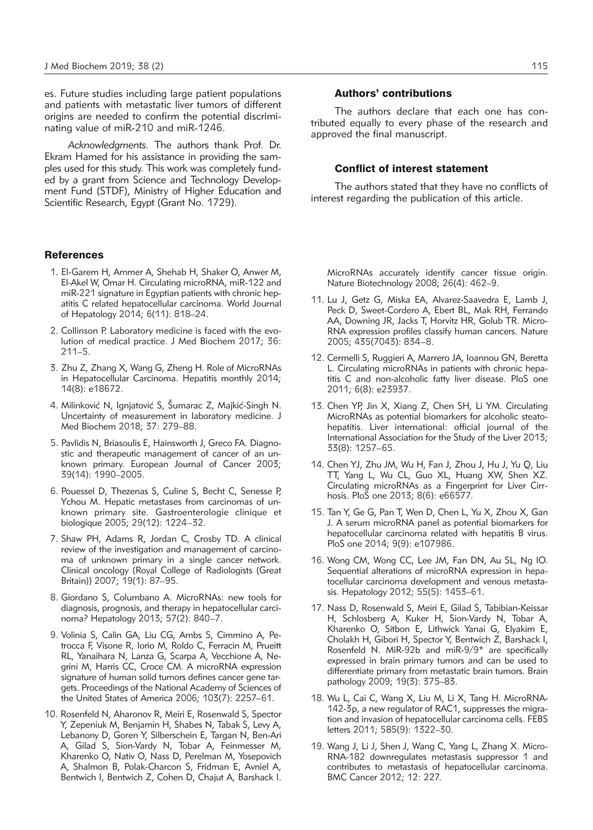es. Future studies including large patient populations and patients with metastatic liver tumors of different origins are needed to confirm the potential discriminating value of miR-210 and miR-1246.

*Acknowledgments.* The authors thank Prof. Dr. Ekram Hamed for his assistance in providing the samples used for this study. This work was completely funded by a grant from Science and Technology Development Fund (STDF), Ministry of Higher Education and Scientific Research, Egypt (Grant No. 1729).

#### **References**

- 1. El-Garem H, Ammer A, Shehab H, Shaker O, Anwer M, El-Akel W, Omar H. Circulating microRNA, miR-122 and miR-221 signature in Egyptian patients with chronic hepatitis C related hepatocellular carcinoma. World Journal of Hepatology 2014; 6(11): 818–24.
- 2. Collinson P. Laboratory medicine is faced with the evolution of medical practice. J Med Biochem 2017; 36: 211–5.
- 3. Zhu Z, Zhang X, Wang G, Zheng H. Role of MicroRNAs in Hepatocellular Carcinoma. Hepatitis monthly 2014; 14(8): e18672.
- 4. Milinković N, Ignjatović S, Šumarac Z, Majkić-Singh N. Uncertainty of measurement in laboratory medicine. J Med Biochem 2018; 37: 279–88.
- 5. Pavlidis N, Briasoulis E, Hainsworth J, Greco FA. Diagnostic and therapeutic management of cancer of an unknown primary. European Journal of Cancer 2003; 39(14): 1990–2005.
- 6. Pouessel D, Thezenas S, Culine S, Becht C, Senesse P, Ychou M. Hepatic metastases from carcinomas of unknown primary site. Gastroenterologie clinique et biologique 2005; 29(12): 1224–32.
- 7. Shaw PH, Adams R, Jordan C, Crosby TD. A clinical review of the investigation and management of carcinoma of unknown primary in a single cancer network. Clinical oncology (Royal College of Radiologists (Great Britain)) 2007; 19(1): 87–95.
- 8. Giordano S, Columbano A. MicroRNAs: new tools for diagnosis, prognosis, and therapy in hepatocellular carcinoma? Hepatology 2013; 57(2): 840–7.
- 9. Volinia S, Calin GA, Liu CG, Ambs S, Cimmino A, Petrocca F, Visone R, Iorio M, Roldo C, Ferracin M, Prueitt RL, Yanaihara N, Lanza G, Scarpa A, Vecchione A, Negrini M, Harris CC, Croce CM. A microRNA expression signature of human solid tumors defines cancer gene targets. Proceedings of the National Academy of Sciences of the United States of America 2006; 103(7): 2257–61.
- 10. Rosenfeld N, Aharonov R, Meiri E, Rosenwald S, Spector Y, Zepeniuk M, Benjamin H, Shabes N, Tabak S, Levy A, Lebanony D, Goren Y, Silberschein E, Targan N, Ben-Ari A, Gilad S, Sion-Vardy N, Tobar A, Feinmesser M, Kharenko O, Nativ O, Nass D, Perelman M, Yosepovich A, Shalmon B, Polak-Charcon S, Fridman E, Avniel A, Bentwich I, Bentwich Z, Cohen D, Chajut A, Barshack I.

#### Authors' contributions

The authors declare that each one has contributed equally to every phase of the research and approved the final manuscript.

#### Conflict of interest statement

The authors stated that they have no conflicts of interest regarding the publication of this article.

MicroRNAs accurately identify cancer tissue origin. Nature Biotechnology 2008; 26(4): 462–9.

- 11. Lu J, Getz G, Miska EA, Alvarez-Saavedra E, Lamb J, Peck D, Sweet-Cordero A, Ebert BL, Mak RH, Ferrando AA, Downing JR, Jacks T, Horvitz HR, Golub TR. Micro-RNA expression profiles classify human cancers. Nature 2005; 435(7043): 834–8.
- 12. Cermelli S, Ruggieri A, Marrero JA, Ioannou GN, Beretta L. Circulating microRNAs in patients with chronic hepatitis C and non-alcoholic fatty liver disease. PloS one 2011; 6(8): e23937.
- 13. Chen YP, Jin X, Xiang Z, Chen SH, Li YM. Circulating MicroRNAs as potential biomarkers for alcoholic steatohepatitis. Liver international: official journal of the International Association for the Study of the Liver 2013; 33(8): 1257–65.
- 14. Chen YJ, Zhu JM, Wu H, Fan J, Zhou J, Hu J, Yu Q, Liu TT, Yang L, Wu CL, Guo XL, Huang XW, Shen XZ. Circulating microRNAs as a Fingerprint for Liver Cirrhosis. PloS one 2013; 8(6): e66577.
- 15. Tan Y, Ge G, Pan T, Wen D, Chen L, Yu X, Zhou X, Gan J. A serum microRNA panel as potential biomarkers for hepatocellular carcinoma related with hepatitis B virus. PloS one 2014; 9(9): e107986.
- 16. Wong CM, Wong CC, Lee JM, Fan DN, Au SL, Ng IO. Sequential alterations of microRNA expression in hepatocellular carcinoma development and venous metastasis. Hepatology 2012; 55(5): 1453–61.
- 17. Nass D, Rosenwald S, Meiri E, Gilad S, Tabibian-Keissar H, Schlosberg A, Kuker H, Sion-Vardy N, Tobar A, Kharenko O, Sitbon E, Lithwick Yanai G, Elyakim E, Cholakh H, Gibori H, Spector Y, Bentwich Z, Barshack I, Rosenfeld N. MiR-92b and miR-9/9\* are specifically expressed in brain primary tumors and can be used to differentiate primary from metastatic brain tumors. Brain pathology 2009; 19(3): 375–83.
- 18. Wu L, Cai C, Wang X, Liu M, Li X, Tang H. MicroRNA-142-3p, a new regulator of RAC1, suppresses the migration and invasion of hepatocellular carcinoma cells. FEBS letters 2011; 585(9): 1322–30.
- 19. Wang J, Li J, Shen J, Wang C, Yang L, Zhang X. Micro-RNA-182 downregulates metastasis suppressor 1 and contributes to metastasis of hepatocellular carcinoma. BMC Cancer 2012; 12: 227.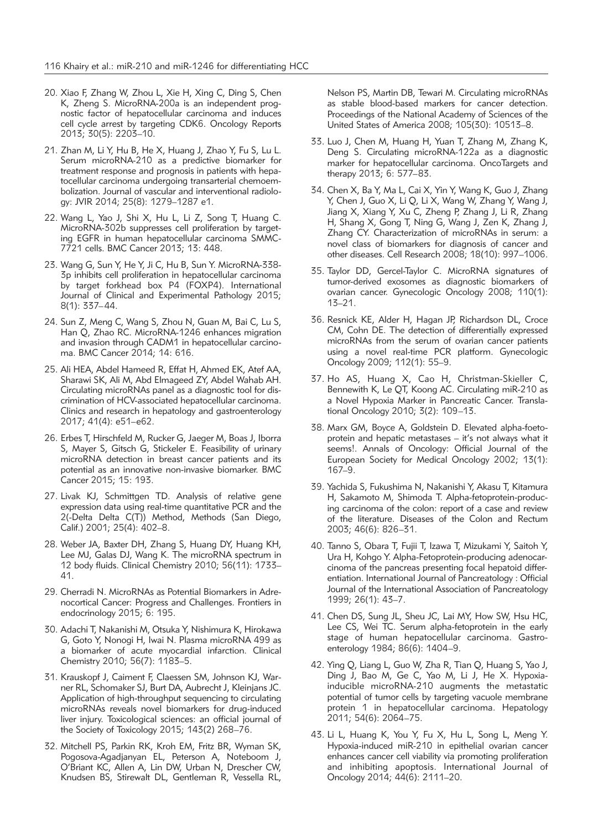- 20. Xiao F, Zhang W, Zhou L, Xie H, Xing C, Ding S, Chen K, Zheng S. MicroRNA-200a is an independent prognostic factor of hepatocellular carcinoma and induces cell cycle arrest by targeting CDK6. Oncology Reports 2013; 30(5): 2203–10.
- 21. Zhan M, Li Y, Hu B, He X, Huang J, Zhao Y, Fu S, Lu L. Serum microRNA-210 as a predictive biomarker for treatment response and prognosis in patients with hepatocellular carcinoma undergoing transarterial chemoembolization. Journal of vascular and interventional radiology: JVIR 2014; 25(8): 1279–1287 e1.
- 22. Wang L, Yao J, Shi X, Hu L, Li Z, Song T, Huang C. MicroRNA-302b suppresses cell proliferation by targeting EGFR in human hepatocellular carcinoma SMMC-7721 cells. BMC Cancer 2013; 13: 448.
- 23. Wang G, Sun Y, He Y, Ji C, Hu B, Sun Y. MicroRNA-338- 3p inhibits cell proliferation in hepatocellular carcinoma by target forkhead box P4 (FOXP4). International Journal of Clinical and Experimental Pathology 2015; 8(1): 337–44.
- 24. Sun Z, Meng C, Wang S, Zhou N, Guan M, Bai C, Lu S, Han Q, Zhao RC. MicroRNA-1246 enhances migration and invasion through CADM1 in hepatocellular carcinoma. BMC Cancer 2014; 14: 616.
- 25. Ali HEA, Abdel Hameed R, Effat H, Ahmed EK, Atef AA, Sharawi SK, Ali M, Abd Elmageed ZY, Abdel Wahab AH. Circulating microRNAs panel as a diagnostic tool for discrimination of HCV-associated hepatocellular carcinoma. Clinics and research in hepatology and gastroenterology 2017; 41(4): e51–e62.
- 26. Erbes T, Hirschfeld M, Rucker G, Jaeger M, Boas J, Iborra S, Mayer S, Gitsch G, Stickeler E. Feasibility of urinary microRNA detection in breast cancer patients and its potential as an innovative non-invasive biomarker. BMC Cancer 2015; 15: 193.
- 27. Livak KJ, Schmittgen TD. Analysis of relative gene expression data using real-time quantitative PCR and the 2(-Delta Delta C(T)) Method, Methods (San Diego, Calif.) 2001; 25(4): 402–8.
- 28. Weber JA, Baxter DH, Zhang S, Huang DY, Huang KH, Lee MJ, Galas DJ, Wang K. The microRNA spectrum in 12 body fluids. Clinical Chemistry 2010; 56(11): 1733– 41.
- 29. Cherradi N. MicroRNAs as Potential Biomarkers in Adreno cortical Cancer: Progress and Challenges. Frontiers in endocrinology 2015; 6: 195.
- 30. Adachi T, Nakanishi M, Otsuka Y, Nishimura K, Hirokawa G, Goto Y, Nonogi H, Iwai N. Plasma microRNA 499 as a biomarker of acute myocardial infarction. Clinical Chemistry 2010; 56(7): 1183–5.
- 31. Krauskopf J, Caiment F, Claessen SM, Johnson KJ, Warner RL, Schomaker SJ, Burt DA, Aubrecht J, Kleinjans JC. Application of high-throughput sequencing to circulating microRNAs reveals novel biomarkers for drug-induced liver injury. Toxicological sciences: an official journal of the Society of Toxicology 2015; 143(2) 268–76.
- 32. Mitchell PS, Parkin RK, Kroh EM, Fritz BR, Wyman SK, Pogosova-Agadjanyan EL, Peterson A, Noteboom J, O'Briant KC, Allen A, Lin DW, Urban N, Drescher CW, Knudsen BS, Stirewalt DL, Gentleman R, Vessella RL,

Nelson PS, Martin DB, Tewari M. Circulating microRNAs as stable blood-based markers for cancer detection. Proceedings of the National Academy of Sciences of the United States of America 2008; 105(30): 10513–8.

- 33. Luo J, Chen M, Huang H, Yuan T, Zhang M, Zhang K, Deng S. Circulating microRNA-122a as a diagnostic marker for hepatocellular carcinoma. OncoTargets and therapy 2013; 6: 577–83.
- 34. Chen X, Ba Y, Ma L, Cai X, Yin Y, Wang K, Guo J, Zhang Y, Chen J, Guo X, Li Q, Li X, Wang W, Zhang Y, Wang J, Jiang X, Xiang Y, Xu C, Zheng P, Zhang J, Li R, Zhang H, Shang X, Gong T, Ning G, Wang J, Zen K, Zhang J, Zhang CY. Characterization of microRNAs in serum: a novel class of biomarkers for diagnosis of cancer and other diseases. Cell Research 2008; 18(10): 997–1006.
- 35. Taylor DD, Gercel-Taylor C. MicroRNA signatures of tumor-derived exosomes as diagnostic biomarkers of ovarian cancer. Gynecologic Oncology 2008; 110(1): 13–21.
- 36. Resnick KE, Alder H, Hagan JP, Richardson DL, Croce CM, Cohn DE. The detection of differentially expressed microRNAs from the serum of ovarian cancer patients using a novel real-time PCR platform. Gynecologic Oncology 2009; 112(1): 55–9.
- 37. Ho AS, Huang X, Cao H, Christman-Skieller C, Bennewith K, Le QT, Koong AC. Circulating miR-210 as a Novel Hypoxia Marker in Pancreatic Cancer. Translational Oncology 2010; 3(2): 109–13.
- 38. Marx GM, Boyce A, Goldstein D. Elevated alpha-foetoprotein and hepatic metastases – it's not always what it seems!. Annals of Oncology: Official Journal of the European Society for Medical Oncology 2002; 13(1): 167–9.
- 39. Yachida S, Fukushima N, Nakanishi Y, Akasu T, Kitamura H, Sakamoto M, Shimoda T. Alpha-fetoprotein-producing carcinoma of the colon: report of a case and review of the literature. Diseases of the Colon and Rectum 2003; 46(6): 826–31.
- 40. Tanno S, Obara T, Fujii T, Izawa T, Mizukami Y, Saitoh Y, Ura H, Kohgo Y. Alpha-Fetoprotein-producing adenocarcinoma of the pancreas presenting focal hepatoid differentiation. International Journal of Pancreatology : Official Journal of the International Association of Pancreatology 1999; 26(1): 43–7.
- 41. Chen DS, Sung JL, Sheu JC, Lai MY, How SW, Hsu HC, Lee CS, Wei TC. Serum alpha-fetoprotein in the early stage of human hepatocellular carcinoma. Gastroenterology 1984; 86(6): 1404–9.
- 42. Ying Q, Liang L, Guo W, Zha R, Tian Q, Huang S, Yao J, Ding J, Bao M, Ge C, Yao M, Li J, He X. Hypoxiainducible microRNA-210 augments the metastatic potential of tumor cells by targeting vacuole membrane protein 1 in hepatocellular carcinoma. Hepatology 2011; 54(6): 2064–75.
- 43. Li L, Huang K, You Y, Fu X, Hu L, Song L, Meng Y. Hypoxia-induced miR-210 in epithelial ovarian cancer enhances cancer cell viability via promoting proliferation and inhibiting apoptosis. International Journal of Oncology 2014; 44(6): 2111–20.